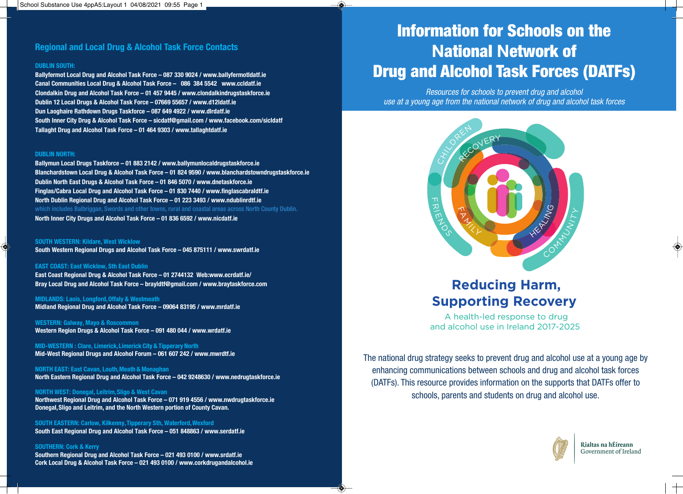## **Regional and Local Drug & Alcohol Task Force Contacts**

#### **DUBLIN SOUTH:**

**Ballyfermot Local Drug and Alcohol Task Force – 087 330 9024 / www.ballyfermotldatf.ie Canal Communities Local Drug & Alcohol Task Force** – **086 384 5542 www.ccldatf.ie Clondalkin Drug and Alcohol Task Force** – **01 457 9445 / www.clondalkindrugstaskforce.ie Dublin 12 Local Drugs & Alcohol Task Force** – **07669 55657 / www.d12ldatf.ie Dun Laoghaire Rathdown Drugs Taskforce – 087 649 4922 / www.dlrdatf.ie South Inner City Drug & Alcohol Task Force** – **sicdatf@gmail.com / www.facebook.com/sicldatf Tallaght Drug and Alcohol Task Force** – **01 464 9303 / www.tallaghtdatf.ie** 

#### **DUBLIN NORTH:**

**Ballymun Local Drugs Taskforce** – **01 883 2142 / www.ballymunlocaldrugstaskforce.ie Blanchardstown Local Drug & Alcohol Task Force – 01 824 9590 / www.blanchardstowndrugstaskforce.ie Dublin North East Drugs & Alcohol Task Force** – **01 846 5070 / www.dnetaskforce.ie Finglas/Cabra Local Drug and Alcohol Task Force – 01 830 7440 / www.finglascabraldtf.ie North Dublin Regional Drug and Alcohol Task Force – 01 223 3493 / www.ndublinrdtf.ie**  which includes Balbriggan, Swords and other towns, rural and coastal areas across North County Dublin. **North Inner City Drugs and Alcohol Task Force – 01 836 6592 / www.nicdatf.ie** 

**SOUTH WESTERN: Kildare, West Wicklow South Western Regional Drugs and Alcohol Task Force** – **045 875111 / www.swrdatf.ie** 

#### **EAST COAST: East Wicklow, Sth East Dublin**

**East Coast Regional Drug & Alcohol Task Force** – **01 2744132 Web:www.ecrdatf.ie/ Bray Local Drug and Alcohol Task Force** – **brayldtf@gmail.com / www.braytaskforce.com** 

**MIDLANDS: Laois, Longford, Offaly & Westmeath Midland Regional Drug and Alcohol Task Force** – **09064 83195 / www.mrdatf.ie** 

**WESTERN: Galway, Mayo & Roscommon Western Region Drugs & Alcohol Task Force** – **091 480 044 / www.wrdatf.ie** 

**MID-WESTERN : Clare, Limerick, Limerick City & Tipperary North Mid-West Regional Drugs and Alcohol Forum – 061 607 242 / www.mwrdtf.ie** 

**NORTH EAST: East Cavan, Louth, Meath & Monaghan North Eastern Regional Drug and Alcohol Task Force – 042 9248630 / www.nedrugtaskforce.ie** 

**NORTH WEST: Donegal, Leitrim, Sligo & West Cavan Northwest Regional Drug and Alcohol Task Force** – **071 919 4556 / www.nwdrugtaskforce.ie Donegal, Sligo and Leitrim, and the North Western portion of County Cavan.** 

**SOUTH EASTERN: Carlow, Kilkenny, Tipperary Sth, Waterford, Wexford South East Regional Drug and Alcohol Task Force** – **051 848863 / www.serdatf.ie** 

#### **SOUTHERN: Cork & Kerry**

**Southern Regional Drug and Alcohol Task Force** – **021 493 0100 / www.srdatf.ie Cork Local Drug & Alcohol Task Force** – **021 493 0100 / www.corkdrugandalcohol.ie** 

# **Information for Schools on the National Network of Drug and Alcohol Task Forces (DATFs)**

*Resources for schools to prevent drug and alcohol use at a young age from the national network of drug and alcohol task forces*



# **Reducing Harm, Supporting Recovery**

A health-led response to drug and alcohol use in Ireland 2017-2025

The national drug strategy seeks to prevent drug and alcohol use at a young age by enhancing communications between schools and drug and alcohol task forces (DATFs). This resource provides information on the supports that DATFs offer to schools, parents and students on drug and alcohol use.